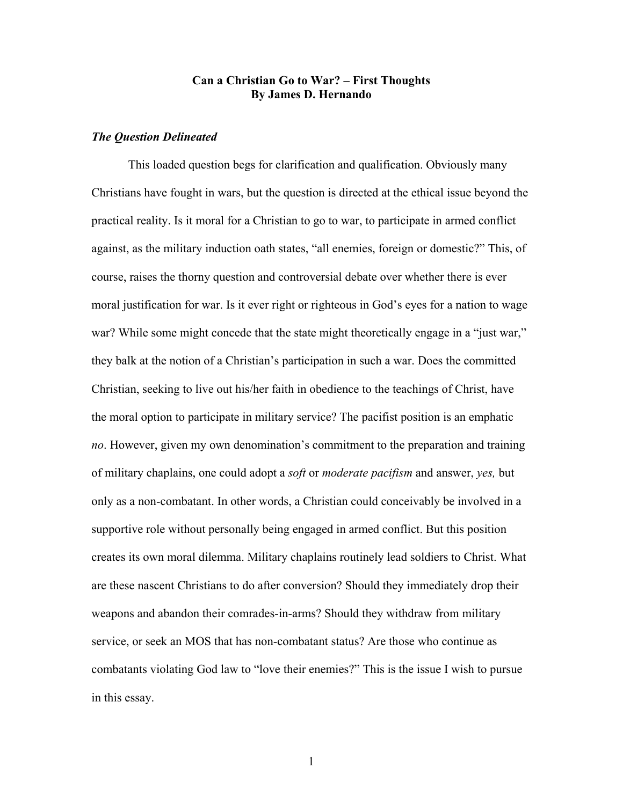# Can a Christian Go to War? – First Thoughts By James D. Hernando

## The Question Delineated

 This loaded question begs for clarification and qualification. Obviously many Christians have fought in wars, but the question is directed at the ethical issue beyond the practical reality. Is it moral for a Christian to go to war, to participate in armed conflict against, as the military induction oath states, "all enemies, foreign or domestic?" This, of course, raises the thorny question and controversial debate over whether there is ever moral justification for war. Is it ever right or righteous in God's eyes for a nation to wage war? While some might concede that the state might theoretically engage in a "just war," they balk at the notion of a Christian's participation in such a war. Does the committed Christian, seeking to live out his/her faith in obedience to the teachings of Christ, have the moral option to participate in military service? The pacifist position is an emphatic no. However, given my own denomination's commitment to the preparation and training of military chaplains, one could adopt a *soft* or *moderate pacifism* and answer, *yes*, but only as a non-combatant. In other words, a Christian could conceivably be involved in a supportive role without personally being engaged in armed conflict. But this position creates its own moral dilemma. Military chaplains routinely lead soldiers to Christ. What are these nascent Christians to do after conversion? Should they immediately drop their weapons and abandon their comrades-in-arms? Should they withdraw from military service, or seek an MOS that has non-combatant status? Are those who continue as combatants violating God law to "love their enemies?" This is the issue I wish to pursue in this essay.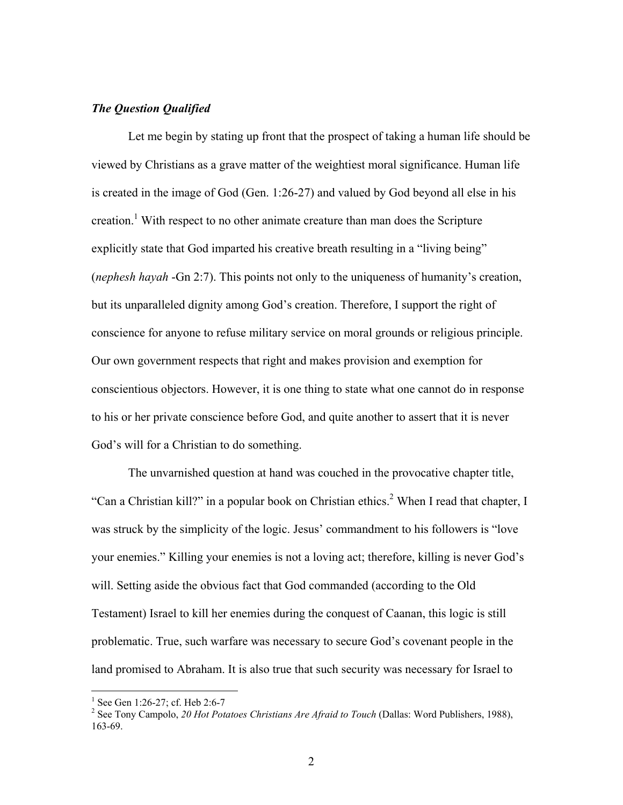# The Question Qualified

 Let me begin by stating up front that the prospect of taking a human life should be viewed by Christians as a grave matter of the weightiest moral significance. Human life is created in the image of God (Gen. 1:26-27) and valued by God beyond all else in his creation.<sup>1</sup> With respect to no other animate creature than man does the Scripture explicitly state that God imparted his creative breath resulting in a "living being" (nephesh hayah -Gn 2:7). This points not only to the uniqueness of humanity's creation, but its unparalleled dignity among God's creation. Therefore, I support the right of conscience for anyone to refuse military service on moral grounds or religious principle. Our own government respects that right and makes provision and exemption for conscientious objectors. However, it is one thing to state what one cannot do in response to his or her private conscience before God, and quite another to assert that it is never God's will for a Christian to do something.

 The unvarnished question at hand was couched in the provocative chapter title, "Can a Christian kill?" in a popular book on Christian ethics.<sup>2</sup> When I read that chapter, I was struck by the simplicity of the logic. Jesus' commandment to his followers is "love your enemies." Killing your enemies is not a loving act; therefore, killing is never God's will. Setting aside the obvious fact that God commanded (according to the Old Testament) Israel to kill her enemies during the conquest of Caanan, this logic is still problematic. True, such warfare was necessary to secure God's covenant people in the land promised to Abraham. It is also true that such security was necessary for Israel to

 1 See Gen 1:26-27; cf. Heb 2:6-7

<sup>&</sup>lt;sup>2</sup> See Tony Campolo, 20 Hot Potatoes Christians Are Afraid to Touch (Dallas: Word Publishers, 1988), 163-69.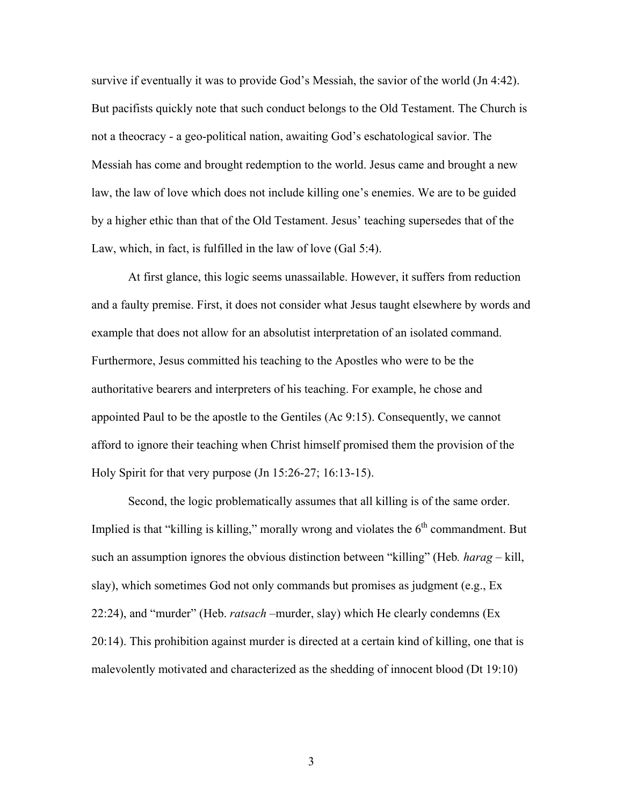survive if eventually it was to provide God's Messiah, the savior of the world (Jn 4:42). But pacifists quickly note that such conduct belongs to the Old Testament. The Church is not a theocracy - a geo-political nation, awaiting God's eschatological savior. The Messiah has come and brought redemption to the world. Jesus came and brought a new law, the law of love which does not include killing one's enemies. We are to be guided by a higher ethic than that of the Old Testament. Jesus' teaching supersedes that of the Law, which, in fact, is fulfilled in the law of love (Gal 5:4).

 At first glance, this logic seems unassailable. However, it suffers from reduction and a faulty premise. First, it does not consider what Jesus taught elsewhere by words and example that does not allow for an absolutist interpretation of an isolated command. Furthermore, Jesus committed his teaching to the Apostles who were to be the authoritative bearers and interpreters of his teaching. For example, he chose and appointed Paul to be the apostle to the Gentiles (Ac 9:15). Consequently, we cannot afford to ignore their teaching when Christ himself promised them the provision of the Holy Spirit for that very purpose (Jn 15:26-27; 16:13-15).

 Second, the logic problematically assumes that all killing is of the same order. Implied is that "killing is killing," morally wrong and violates the  $6<sup>th</sup>$  commandment. But such an assumption ignores the obvious distinction between "killing" (Heb. *harag* – kill, slay), which sometimes God not only commands but promises as judgment (e.g., Ex 22:24), and "murder" (Heb. *ratsach* –murder, slay) which He clearly condemns (Ex 20:14). This prohibition against murder is directed at a certain kind of killing, one that is malevolently motivated and characterized as the shedding of innocent blood (Dt 19:10)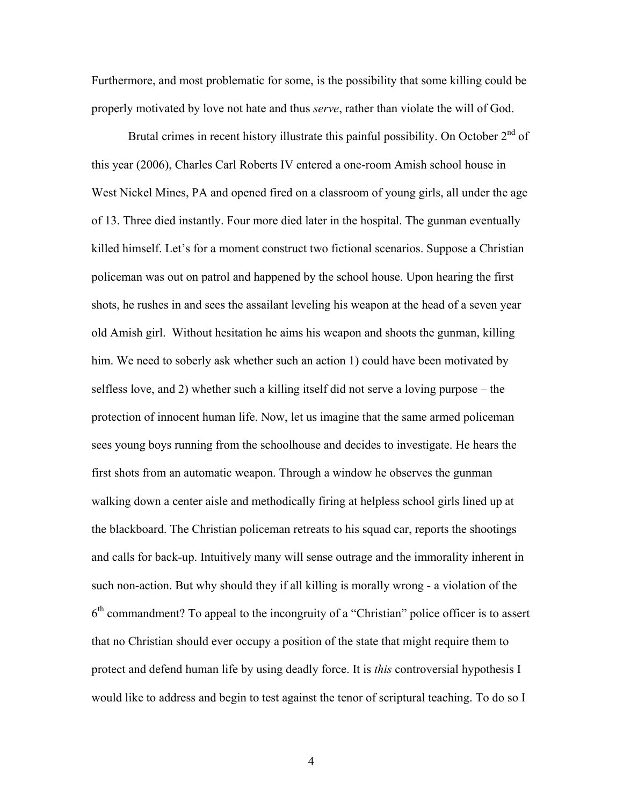Furthermore, and most problematic for some, is the possibility that some killing could be properly motivated by love not hate and thus *serve*, rather than violate the will of God.

Brutal crimes in recent history illustrate this painful possibility. On October  $2<sup>nd</sup>$  of this year (2006), Charles Carl Roberts IV entered a one-room Amish school house in West Nickel Mines, PA and opened fired on a classroom of young girls, all under the age of 13. Three died instantly. Four more died later in the hospital. The gunman eventually killed himself. Let's for a moment construct two fictional scenarios. Suppose a Christian policeman was out on patrol and happened by the school house. Upon hearing the first shots, he rushes in and sees the assailant leveling his weapon at the head of a seven year old Amish girl. Without hesitation he aims his weapon and shoots the gunman, killing him. We need to soberly ask whether such an action 1) could have been motivated by selfless love, and 2) whether such a killing itself did not serve a loving purpose – the protection of innocent human life. Now, let us imagine that the same armed policeman sees young boys running from the schoolhouse and decides to investigate. He hears the first shots from an automatic weapon. Through a window he observes the gunman walking down a center aisle and methodically firing at helpless school girls lined up at the blackboard. The Christian policeman retreats to his squad car, reports the shootings and calls for back-up. Intuitively many will sense outrage and the immorality inherent in such non-action. But why should they if all killing is morally wrong - a violation of the  $6<sup>th</sup>$  commandment? To appeal to the incongruity of a "Christian" police officer is to assert that no Christian should ever occupy a position of the state that might require them to protect and defend human life by using deadly force. It is this controversial hypothesis I would like to address and begin to test against the tenor of scriptural teaching. To do so I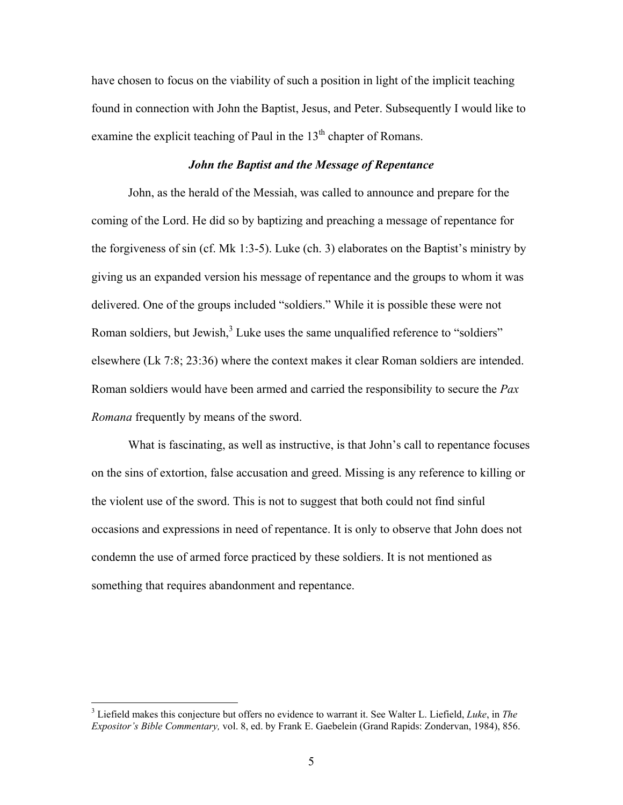have chosen to focus on the viability of such a position in light of the implicit teaching found in connection with John the Baptist, Jesus, and Peter. Subsequently I would like to examine the explicit teaching of Paul in the  $13<sup>th</sup>$  chapter of Romans.

## John the Baptist and the Message of Repentance

 John, as the herald of the Messiah, was called to announce and prepare for the coming of the Lord. He did so by baptizing and preaching a message of repentance for the forgiveness of sin (cf. Mk 1:3-5). Luke (ch. 3) elaborates on the Baptist's ministry by giving us an expanded version his message of repentance and the groups to whom it was delivered. One of the groups included "soldiers." While it is possible these were not Roman soldiers, but Jewish, $3$  Luke uses the same unqualified reference to "soldiers" elsewhere (Lk 7:8; 23:36) where the context makes it clear Roman soldiers are intended. Roman soldiers would have been armed and carried the responsibility to secure the Pax Romana frequently by means of the sword.

 What is fascinating, as well as instructive, is that John's call to repentance focuses on the sins of extortion, false accusation and greed. Missing is any reference to killing or the violent use of the sword. This is not to suggest that both could not find sinful occasions and expressions in need of repentance. It is only to observe that John does not condemn the use of armed force practiced by these soldiers. It is not mentioned as something that requires abandonment and repentance.

 $\overline{a}$ 

 $3$  Liefield makes this conjecture but offers no evidence to warrant it. See Walter L. Liefield, Luke, in The Expositor's Bible Commentary, vol. 8, ed. by Frank E. Gaebelein (Grand Rapids: Zondervan, 1984), 856.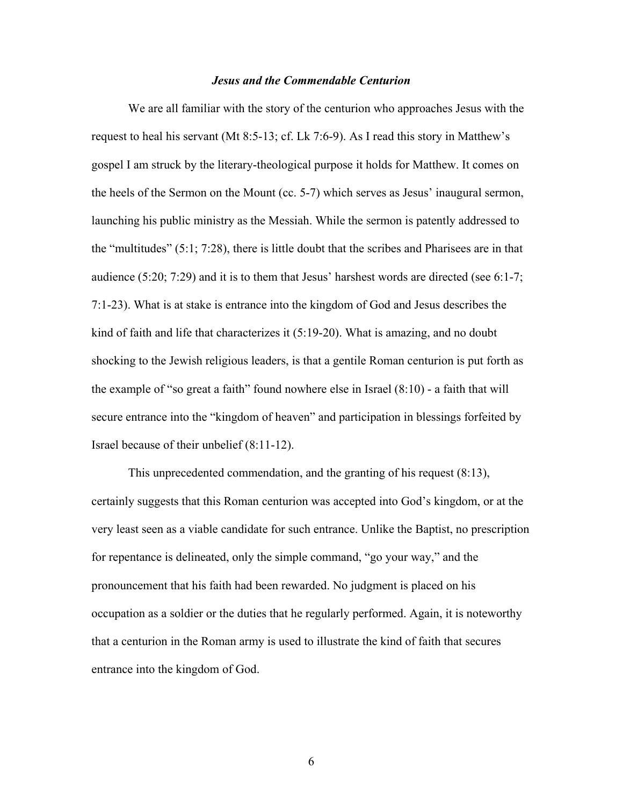#### Jesus and the Commendable Centurion

 We are all familiar with the story of the centurion who approaches Jesus with the request to heal his servant (Mt 8:5-13; cf. Lk 7:6-9). As I read this story in Matthew's gospel I am struck by the literary-theological purpose it holds for Matthew. It comes on the heels of the Sermon on the Mount (cc. 5-7) which serves as Jesus' inaugural sermon, launching his public ministry as the Messiah. While the sermon is patently addressed to the "multitudes" (5:1; 7:28), there is little doubt that the scribes and Pharisees are in that audience (5:20; 7:29) and it is to them that Jesus' harshest words are directed (see 6:1-7; 7:1-23). What is at stake is entrance into the kingdom of God and Jesus describes the kind of faith and life that characterizes it (5:19-20). What is amazing, and no doubt shocking to the Jewish religious leaders, is that a gentile Roman centurion is put forth as the example of "so great a faith" found nowhere else in Israel (8:10) - a faith that will secure entrance into the "kingdom of heaven" and participation in blessings forfeited by Israel because of their unbelief (8:11-12).

 This unprecedented commendation, and the granting of his request (8:13), certainly suggests that this Roman centurion was accepted into God's kingdom, or at the very least seen as a viable candidate for such entrance. Unlike the Baptist, no prescription for repentance is delineated, only the simple command, "go your way," and the pronouncement that his faith had been rewarded. No judgment is placed on his occupation as a soldier or the duties that he regularly performed. Again, it is noteworthy that a centurion in the Roman army is used to illustrate the kind of faith that secures entrance into the kingdom of God.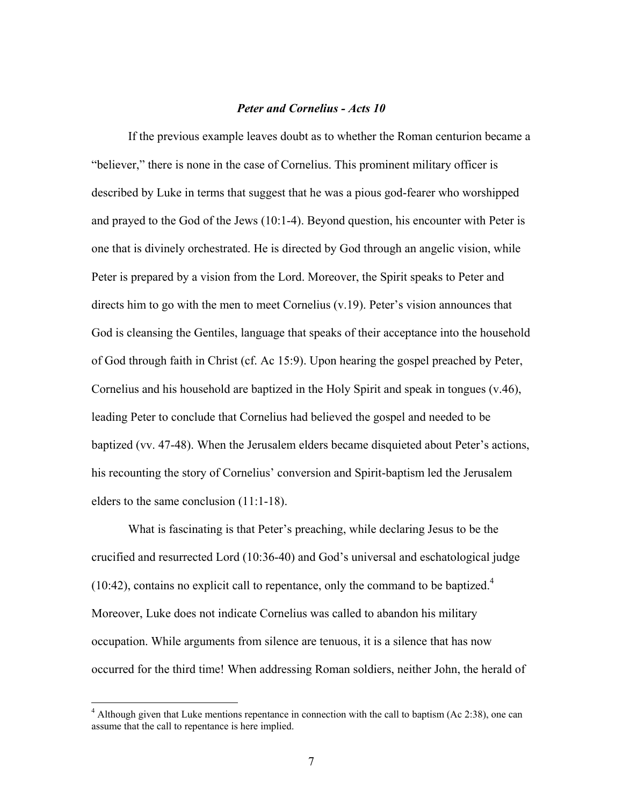## Peter and Cornelius - Acts 10

 If the previous example leaves doubt as to whether the Roman centurion became a "believer," there is none in the case of Cornelius. This prominent military officer is described by Luke in terms that suggest that he was a pious god-fearer who worshipped and prayed to the God of the Jews (10:1-4). Beyond question, his encounter with Peter is one that is divinely orchestrated. He is directed by God through an angelic vision, while Peter is prepared by a vision from the Lord. Moreover, the Spirit speaks to Peter and directs him to go with the men to meet Cornelius (v.19). Peter's vision announces that God is cleansing the Gentiles, language that speaks of their acceptance into the household of God through faith in Christ (cf. Ac 15:9). Upon hearing the gospel preached by Peter, Cornelius and his household are baptized in the Holy Spirit and speak in tongues (v.46), leading Peter to conclude that Cornelius had believed the gospel and needed to be baptized (vv. 47-48). When the Jerusalem elders became disquieted about Peter's actions, his recounting the story of Cornelius' conversion and Spirit-baptism led the Jerusalem elders to the same conclusion (11:1-18).

 What is fascinating is that Peter's preaching, while declaring Jesus to be the crucified and resurrected Lord (10:36-40) and God's universal and eschatological judge (10:42), contains no explicit call to repentance, only the command to be baptized.<sup>4</sup> Moreover, Luke does not indicate Cornelius was called to abandon his military occupation. While arguments from silence are tenuous, it is a silence that has now occurred for the third time! When addressing Roman soldiers, neither John, the herald of

<u>.</u>

 $4$  Although given that Luke mentions repentance in connection with the call to baptism (Ac 2:38), one can assume that the call to repentance is here implied.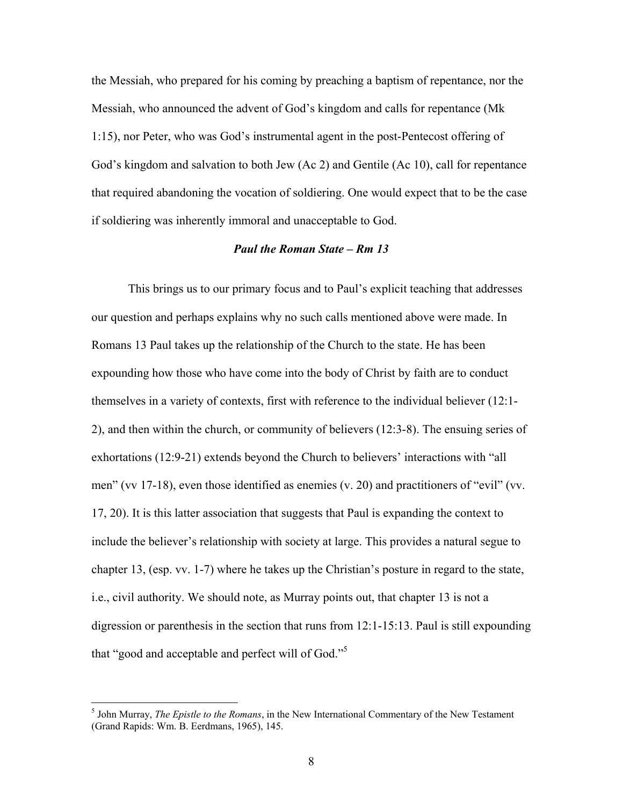the Messiah, who prepared for his coming by preaching a baptism of repentance, nor the Messiah, who announced the advent of God's kingdom and calls for repentance (Mk 1:15), nor Peter, who was God's instrumental agent in the post-Pentecost offering of God's kingdom and salvation to both Jew (Ac 2) and Gentile (Ac 10), call for repentance that required abandoning the vocation of soldiering. One would expect that to be the case if soldiering was inherently immoral and unacceptable to God.

#### Paul the Roman State – Rm 13

 This brings us to our primary focus and to Paul's explicit teaching that addresses our question and perhaps explains why no such calls mentioned above were made. In Romans 13 Paul takes up the relationship of the Church to the state. He has been expounding how those who have come into the body of Christ by faith are to conduct themselves in a variety of contexts, first with reference to the individual believer (12:1- 2), and then within the church, or community of believers (12:3-8). The ensuing series of exhortations (12:9-21) extends beyond the Church to believers' interactions with "all men" (vv 17-18), even those identified as enemies (v. 20) and practitioners of "evil" (vv. 17, 20). It is this latter association that suggests that Paul is expanding the context to include the believer's relationship with society at large. This provides a natural segue to chapter 13, (esp. vv. 1-7) where he takes up the Christian's posture in regard to the state, i.e., civil authority. We should note, as Murray points out, that chapter 13 is not a digression or parenthesis in the section that runs from 12:1-15:13. Paul is still expounding that "good and acceptable and perfect will of God."<sup>5</sup>

<sup>&</sup>lt;sup>5</sup> John Murray, *The Epistle to the Romans*, in the New International Commentary of the New Testament (Grand Rapids: Wm. B. Eerdmans, 1965), 145.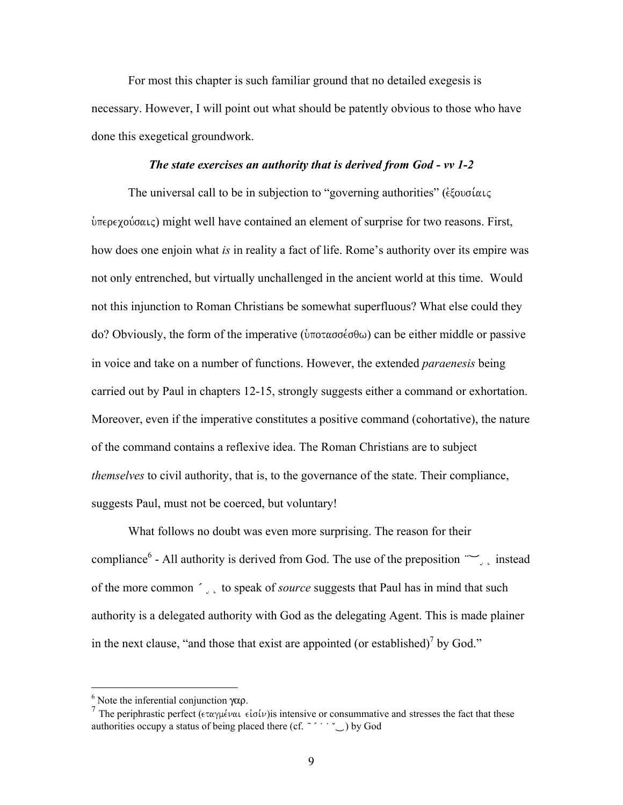For most this chapter is such familiar ground that no detailed exegesis is necessary. However, I will point out what should be patently obvious to those who have done this exegetical groundwork.

#### The state exercises an authority that is derived from God - vv 1-2

The universal call to be in subjection to "governing authorities" ( $\epsilon \xi$ ovo $i\alpha_1 \zeta$  $\hat{\theta}$ περεχούσαις) might well have contained an element of surprise for two reasons. First, how does one enjoin what *is* in reality a fact of life. Rome's authority over its empire was not only entrenched, but virtually unchallenged in the ancient world at this time. Would not this injunction to Roman Christians be somewhat superfluous? What else could they do? Obviously, the form of the imperative ( $\hat{v}$ ποτασσέσθω) can be either middle or passive in voice and take on a number of functions. However, the extended paraenesis being carried out by Paul in chapters 12-15, strongly suggests either a command or exhortation. Moreover, even if the imperative constitutes a positive command (cohortative), the nature of the command contains a reflexive idea. The Roman Christians are to subject themselves to civil authority, that is, to the governance of the state. Their compliance, suggests Paul, must not be coerced, but voluntary!

 What follows no doubt was even more surprising. The reason for their compliance<sup>6</sup> - All authority is derived from God. The use of the preposition  $\sim$ , instead of the more common  $\zeta$  to speak of *source* suggests that Paul has in mind that such authority is a delegated authority with God as the delegating Agent. This is made plainer in the next clause, "and those that exist are appointed (or established)<sup>7</sup> by God."

 $\overline{a}$ 

<sup>&</sup>lt;sup>6</sup> Note the inferential conjunction γαρ.

<sup>&</sup>lt;sup>7</sup> The periphrastic perfect ( $\epsilon \tau \alpha \gamma \mu \epsilon \nu \alpha \iota \epsilon i \sigma \iota \nu$ ) is intensive or consummative and stresses the fact that these authorities occupy a status of being placed there (cf.  $\sim$   $\sim$   $\sim$  ) by God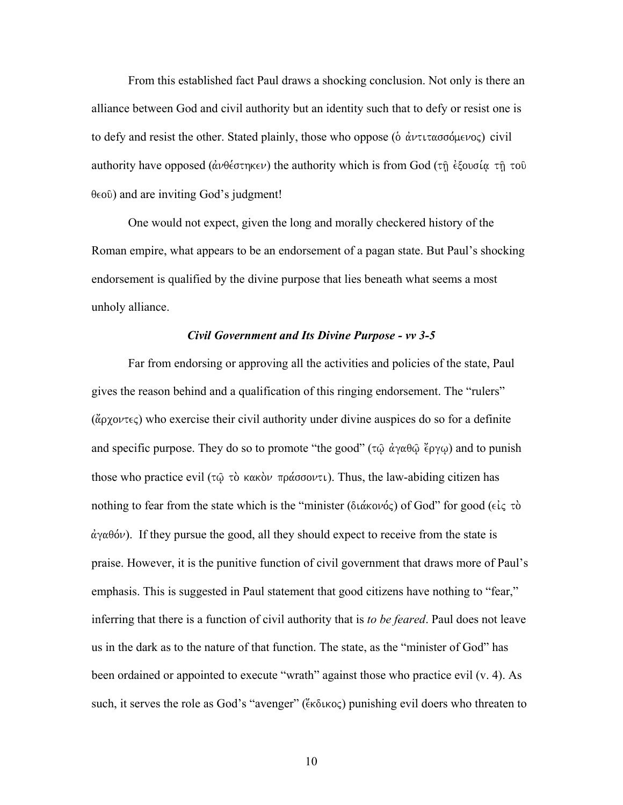From this established fact Paul draws a shocking conclusion. Not only is there an alliance between God and civil authority but an identity such that to defy or resist one is to defy and resist the other. Stated plainly, those who oppose ( $\delta \alpha \nu \tau \tau \alpha \sigma \sigma \delta \mu \epsilon \nu o \varsigma$ ) civil authority have opposed ( $\hat{\alpha} \nu \theta \hat{\epsilon} \sigma \eta \hat{\kappa} \hat{\epsilon} \psi$ ) the authority which is from God ( $\tau \hat{\eta} \hat{\epsilon} \xi$ ougi $\alpha \tau \hat{\eta} \tau$ ou  $\theta \in \{0\}$  and are inviting God's judgment!

 One would not expect, given the long and morally checkered history of the Roman empire, what appears to be an endorsement of a pagan state. But Paul's shocking endorsement is qualified by the divine purpose that lies beneath what seems a most unholy alliance.

# Civil Government and Its Divine Purpose - vv 3-5

 Far from endorsing or approving all the activities and policies of the state, Paul gives the reason behind and a qualification of this ringing endorsement. The "rulers"  $(\alpha\rho\chi\rho\nu\tau\epsilon\zeta)$  who exercise their civil authority under divine auspices do so for a definite and specific purpose. They do so to promote "the good" ( $\tau\hat{\omega}$   $\dot{\alpha}\gamma\alpha\theta\hat{\omega}$   $\ddot{\epsilon}\rho\gamma\omega$ ) and to punish those who practice evil ( $\tau\hat{\omega}$   $\tau\hat{\omega}$  κακόν πράσσοντι). Thus, the law-abiding citizen has nothing to fear from the state which is the "minister ( $\delta \iota \alpha \iota \delta$ ) of God" for good ( $\epsilon \iota \varsigma$   $\tau \delta$ )  $\dot{\alpha}$   $\gamma \alpha \theta$  ( $\dot{\alpha}$ ). If they pursue the good, all they should expect to receive from the state is praise. However, it is the punitive function of civil government that draws more of Paul's emphasis. This is suggested in Paul statement that good citizens have nothing to "fear," inferring that there is a function of civil authority that is *to be feared*. Paul does not leave us in the dark as to the nature of that function. The state, as the "minister of God" has been ordained or appointed to execute "wrath" against those who practice evil (v. 4). As such, it serves the role as God's "avenger" (" $\epsilon$ κδικος") punishing evil doers who threaten to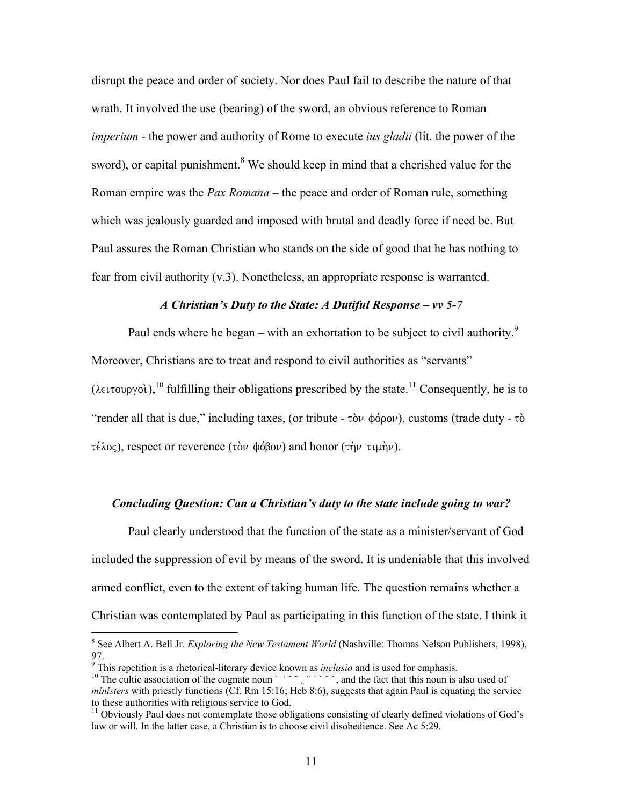disrupt the peace and order of society. Nor does Paul fail to describe the nature of that wrath. It involved the use (bearing) of the sword, an obvious reference to Roman imperium - the power and authority of Rome to execute *ius gladii* (lit. the power of the sword), or capital punishment.<sup>8</sup> We should keep in mind that a cherished value for the Roman empire was the Pax Romana – the peace and order of Roman rule, something which was jealously guarded and imposed with brutal and deadly force if need be. But Paul assures the Roman Christian who stands on the side of good that he has nothing to fear from civil authority (v.3). Nonetheless, an appropriate response is warranted.

## A Christian's Duty to the State: A Dutiful Response – vv 5-7

Paul ends where he began – with an exhortation to be subject to civil authority.<sup>9</sup> Moreover, Christians are to treat and respond to civil authorities as "servants" ( $\lambda \in L^1$  fulfilling their obligations prescribed by the state.<sup>11</sup> Consequently, he is to "render all that is due," including taxes, (or tribute -  $\tau \delta \nu$   $\phi \delta \rho \delta \nu$ ), customs (trade duty -  $\tau \delta$ τέλος), respect or reverence (τὸν φόβον) and honor (τὴν τιμὴν).

# Concluding Question: Can a Christian's duty to the state include going to war?

Paul clearly understood that the function of the state as a minister/servant of God included the suppression of evil by means of the sword. It is undeniable that this involved armed conflict, even to the extent of taking human life. The question remains whether a Christian was contemplated by Paul as participating in this function of the state. I think it

<sup>&</sup>lt;sup>8</sup> See Albert A. Bell Jr. *Exploring the New Testament World* (Nashville: Thomas Nelson Publishers, 1998), 97.

 $9$  This repetition is a rhetorical-literary device known as *inclusio* and is used for emphasis.

<sup>&</sup>lt;sup>10</sup> The cultic association of the cognate noun  $\cdots$ ,  $\cdots$ ,  $\cdots$ , and the fact that this noun is also used of ministers with priestly functions  $($ Cf. Rm 15:16; Heb 8:6), suggests that again Paul is equating the service to these authorities with religious service to God.

<sup>&</sup>lt;sup>11</sup> Obviously Paul does not contemplate those obligations consisting of clearly defined violations of God's law or will. In the latter case, a Christian is to choose civil disobedience. See Ac 5:29.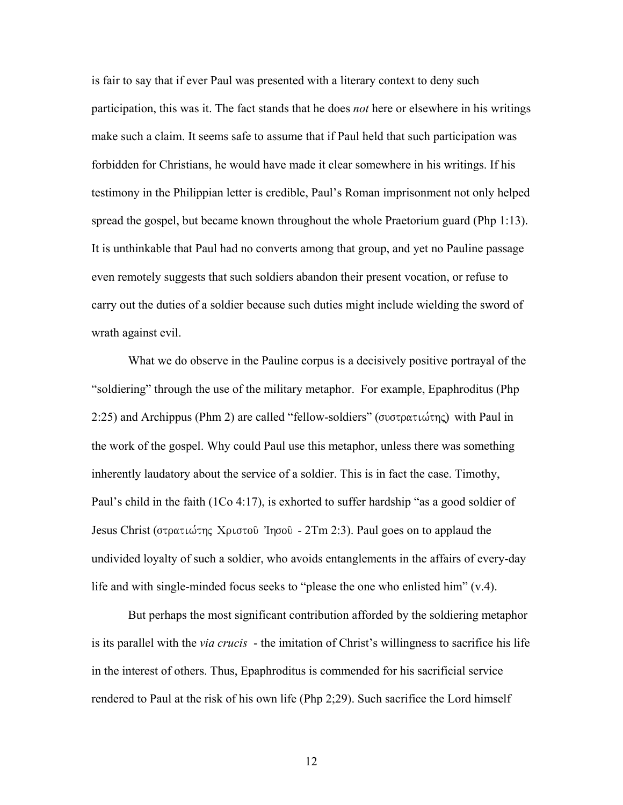is fair to say that if ever Paul was presented with a literary context to deny such participation, this was it. The fact stands that he does *not* here or elsewhere in his writings make such a claim. It seems safe to assume that if Paul held that such participation was forbidden for Christians, he would have made it clear somewhere in his writings. If his testimony in the Philippian letter is credible, Paul's Roman imprisonment not only helped spread the gospel, but became known throughout the whole Praetorium guard (Php 1:13). It is unthinkable that Paul had no converts among that group, and yet no Pauline passage even remotely suggests that such soldiers abandon their present vocation, or refuse to carry out the duties of a soldier because such duties might include wielding the sword of wrath against evil.

What we do observe in the Pauline corpus is a decisively positive portrayal of the "soldiering" through the use of the military metaphor. For example, Epaphroditus (Php 2:25) and Archippus (Phm 2) are called "fellow-soldiers" (συστρατιώτης) with Paul in the work of the gospel. Why could Paul use this metaphor, unless there was something inherently laudatory about the service of a soldier. This is in fact the case. Timothy, Paul's child in the faith (1Co 4:17), is exhorted to suffer hardship "as a good soldier of Jesus Christ (στρατιώτης Χριστοῦ 'Iησοῦ - 2Tm 2:3). Paul goes on to applaud the undivided loyalty of such a soldier, who avoids entanglements in the affairs of every-day life and with single-minded focus seeks to "please the one who enlisted him" (v.4).

But perhaps the most significant contribution afforded by the soldiering metaphor is its parallel with the *via crucis* - the imitation of Christ's willingness to sacrifice his life in the interest of others. Thus, Epaphroditus is commended for his sacrificial service rendered to Paul at the risk of his own life (Php 2;29). Such sacrifice the Lord himself